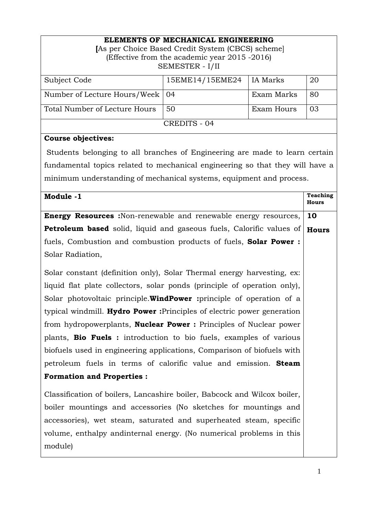### **ELEMENTS OF MECHANICAL ENGINEERING**

| [As per Choice Based Credit System (CBCS) scheme] |
|---------------------------------------------------|
| (Effective from the academic year 2015 -2016)     |
| SEMESTER - I/II                                   |

| Subject Code                      | 15EME14/15EME24 | IA Marks   | 20 |
|-----------------------------------|-----------------|------------|----|
|                                   |                 |            |    |
| Number of Lecture Hours/Week   04 |                 | Exam Marks | 80 |
|                                   |                 |            |    |
| Total Number of Lecture Hours     | 50              | Exam Hours | 03 |
|                                   |                 |            |    |
|                                   | CREDITS - 04    |            |    |
|                                   |                 |            |    |

## **Course objectives:**

 Students belonging to all branches of Engineering are made to learn certain fundamental topics related to mechanical engineering so that they will have a minimum understanding of mechanical systems, equipment and process.

| Module -1                                                                 | <b>Teaching</b><br><b>Hours</b> |
|---------------------------------------------------------------------------|---------------------------------|
| <b>Energy Resources</b> :Non-renewable and renewable energy resources,    | 10                              |
| Petroleum based solid, liquid and gaseous fuels, Calorific values of      | <b>Hours</b>                    |
| fuels, Combustion and combustion products of fuels, <b>Solar Power</b> :  |                                 |
| Solar Radiation,                                                          |                                 |
| Solar constant (definition only), Solar Thermal energy harvesting, ex:    |                                 |
| liquid flat plate collectors, solar ponds (principle of operation only),  |                                 |
| Solar photovoltaic principle. WindPower : principle of operation of a     |                                 |
| typical windmill. Hydro Power: Principles of electric power generation    |                                 |
| from hydropowerplants, <b>Nuclear Power</b> : Principles of Nuclear power |                                 |
| plants, <b>Bio Fuels</b> : introduction to bio fuels, examples of various |                                 |
| biofuels used in engineering applications, Comparison of biofuels with    |                                 |
| petroleum fuels in terms of calorific value and emission. Steam           |                                 |
| <b>Formation and Properties:</b>                                          |                                 |
| Classification of boilers, Lancashire boiler, Babcock and Wilcox boiler,  |                                 |
| boiler mountings and accessories (No sketches for mountings and           |                                 |
| accessories), wet steam, saturated and superheated steam, specific        |                                 |
| volume, enthalpy andinternal energy. (No numerical problems in this       |                                 |
| module)                                                                   |                                 |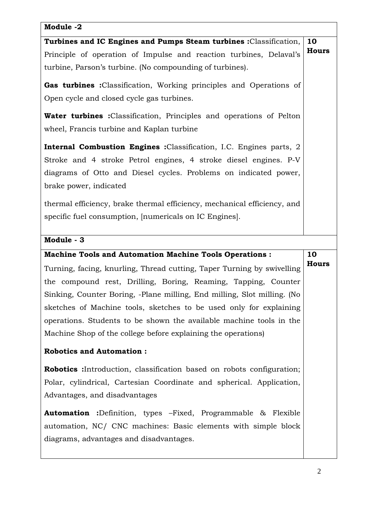# **Module -2 Turbines and IC Engines and Pumps Steam turbines :**Classification, Principle of operation of Impulse and reaction turbines, Delaval's turbine, Parson's turbine. (No compounding of turbines). **Gas turbines :**Classification, Working principles and Operations of Open cycle and closed cycle gas turbines. **Water turbines :**Classification, Principles and operations of Pelton wheel, Francis turbine and Kaplan turbine **Internal Combustion Engines :**Classification, I.C. Engines parts, 2 Stroke and 4 stroke Petrol engines, 4 stroke diesel engines. P-V diagrams of Otto and Diesel cycles. Problems on indicated power, brake power, indicated thermal efficiency, brake thermal efficiency, mechanical efficiency, and specific fuel consumption, [numericals on IC Engines]. **10 Hours Module - 3 Machine Tools and Automation Machine Tools Operations :**  Turning, facing, knurling, Thread cutting, Taper Turning by swivelling the compound rest, Drilling, Boring, Reaming, Tapping, Counter Sinking, Counter Boring, -Plane milling, End milling, Slot milling. (No sketches of Machine tools, sketches to be used only for explaining operations. Students to be shown the available machine tools in the Machine Shop of the college before explaining the operations) **Robotics and Automation : Robotics :**Introduction, classification based on robots configuration; Polar, cylindrical, Cartesian Coordinate and spherical. Application, Advantages, and disadvantages **Automation :**Definition, types –Fixed, Programmable & Flexible automation, NC/ CNC machines: Basic elements with simple block diagrams, advantages and disadvantages. **10 Hours**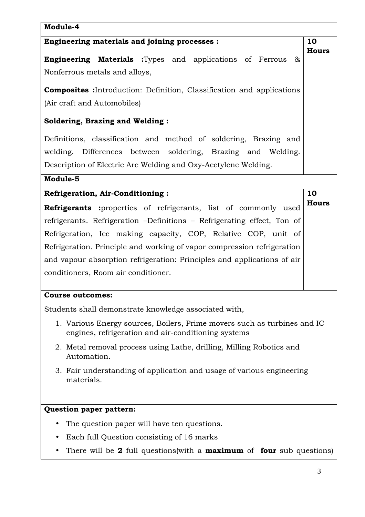| Module-4                                                                                                                                                                                           |                    |  |  |
|----------------------------------------------------------------------------------------------------------------------------------------------------------------------------------------------------|--------------------|--|--|
| Engineering materials and joining processes :                                                                                                                                                      |                    |  |  |
| <b>Engineering Materials</b> :Types and applications of Ferrous<br>&<br>Nonferrous metals and alloys,                                                                                              | <b>Hours</b>       |  |  |
| <b>Composites</b> : Introduction: Definition, Classification and applications<br>(Air craft and Automobiles)                                                                                       |                    |  |  |
| <b>Soldering, Brazing and Welding:</b>                                                                                                                                                             |                    |  |  |
| Definitions, classification and method of soldering, Brazing and<br>welding. Differences between soldering, Brazing and Welding.<br>Description of Electric Arc Welding and Oxy-Acetylene Welding. |                    |  |  |
| Module-5                                                                                                                                                                                           |                    |  |  |
| <b>Refrigeration, Air-Conditioning:</b><br>Refrigerants :properties of refrigerants, list of commonly used                                                                                         | 10<br><b>Hours</b> |  |  |
| refrigerants. Refrigeration -Definitions - Refrigerating effect, Ton of                                                                                                                            |                    |  |  |
| Refrigeration, Ice making capacity, COP, Relative COP, unit of                                                                                                                                     |                    |  |  |
| Refrigeration. Principle and working of vapor compression refrigeration                                                                                                                            |                    |  |  |
| and vapour absorption refrigeration: Principles and applications of air<br>conditioners, Room air conditioner.                                                                                     |                    |  |  |
| <b>Course outcomes:</b>                                                                                                                                                                            |                    |  |  |
| Students shall demonstrate knowledge associated with,                                                                                                                                              |                    |  |  |
| 1. Various Energy sources, Boilers, Prime movers such as turbines and IC<br>engines, refrigeration and air-conditioning systems                                                                    |                    |  |  |
| 2. Metal removal process using Lathe, drilling, Milling Robotics and<br>Automation.                                                                                                                |                    |  |  |
| 3. Fair understanding of application and usage of various engineering<br>materials.                                                                                                                |                    |  |  |
|                                                                                                                                                                                                    |                    |  |  |
| Question paper pattern:                                                                                                                                                                            |                    |  |  |
| The question paper will have ten questions.                                                                                                                                                        |                    |  |  |
| Each full Question consisting of 16 marks                                                                                                                                                          |                    |  |  |
| There will be 2 full questions (with a <b>maximum</b> of <b>four</b> sub questions)                                                                                                                |                    |  |  |